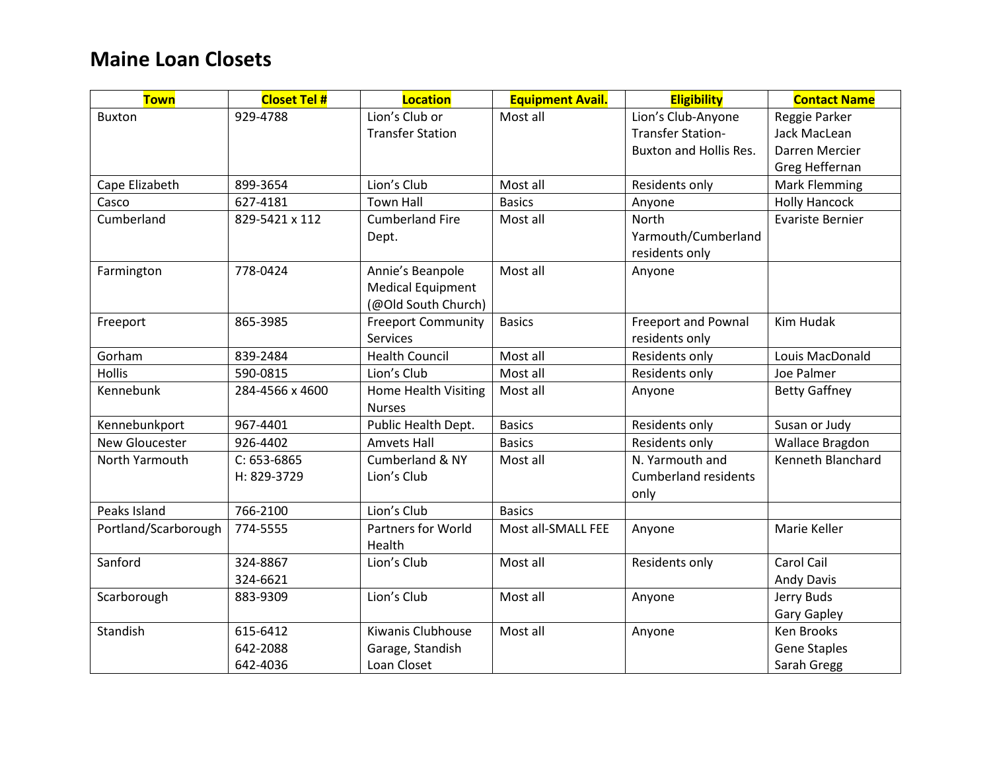## **Maine Loan Closets**

| <b>Town</b>           | <b>Closet Tel #</b> | <b>Location</b>             | <b>Equipment Avail.</b> | <b>Eligibility</b>                    | <b>Contact Name</b>     |
|-----------------------|---------------------|-----------------------------|-------------------------|---------------------------------------|-------------------------|
| <b>Buxton</b>         | 929-4788            | Lion's Club or              | Most all                | Lion's Club-Anyone                    | Reggie Parker           |
|                       |                     | <b>Transfer Station</b>     |                         | <b>Transfer Station-</b>              | Jack MacLean            |
|                       |                     |                             |                         | Buxton and Hollis Res.                | Darren Mercier          |
|                       |                     |                             |                         |                                       | Greg Heffernan          |
| Cape Elizabeth        | 899-3654            | Lion's Club                 | Most all                | Residents only                        | <b>Mark Flemming</b>    |
| Casco                 | 627-4181            | <b>Town Hall</b>            | <b>Basics</b>           | Anyone                                | <b>Holly Hancock</b>    |
| Cumberland            | 829-5421 x 112      | <b>Cumberland Fire</b>      | Most all                | North                                 | <b>Evariste Bernier</b> |
|                       |                     | Dept.                       |                         | Yarmouth/Cumberland<br>residents only |                         |
| Farmington            | 778-0424            | Annie's Beanpole            | Most all                | Anyone                                |                         |
|                       |                     | <b>Medical Equipment</b>    |                         |                                       |                         |
|                       |                     | (@Old South Church)         |                         |                                       |                         |
| Freeport              | 865-3985            | <b>Freeport Community</b>   | <b>Basics</b>           | <b>Freeport and Pownal</b>            | Kim Hudak               |
|                       |                     | <b>Services</b>             |                         | residents only                        |                         |
| Gorham                | 839-2484            | <b>Health Council</b>       | Most all                | Residents only                        | Louis MacDonald         |
| <b>Hollis</b>         | 590-0815            | Lion's Club                 | Most all                | Residents only                        | Joe Palmer              |
| Kennebunk             | 284-4566 x 4600     | <b>Home Health Visiting</b> | Most all                | Anyone                                | <b>Betty Gaffney</b>    |
|                       |                     | <b>Nurses</b>               |                         |                                       |                         |
| Kennebunkport         | 967-4401            | Public Health Dept.         | <b>Basics</b>           | Residents only                        | Susan or Judy           |
| <b>New Gloucester</b> | 926-4402            | <b>Amvets Hall</b>          | <b>Basics</b>           | Residents only                        | <b>Wallace Bragdon</b>  |
| North Yarmouth        | $C: 653-6865$       | Cumberland & NY             | Most all                | N. Yarmouth and                       | Kenneth Blanchard       |
|                       | H: 829-3729         | Lion's Club                 |                         | <b>Cumberland residents</b>           |                         |
|                       |                     |                             |                         | only                                  |                         |
| Peaks Island          | 766-2100            | Lion's Club                 | <b>Basics</b>           |                                       |                         |
| Portland/Scarborough  | 774-5555            | <b>Partners for World</b>   | Most all-SMALL FEE      | Anyone                                | Marie Keller            |
|                       |                     | Health                      |                         |                                       |                         |
| Sanford               | 324-8867            | Lion's Club                 | Most all                | Residents only                        | Carol Cail              |
|                       | 324-6621            |                             |                         |                                       | <b>Andy Davis</b>       |
| Scarborough           | 883-9309            | Lion's Club                 | Most all                | Anyone                                | Jerry Buds              |
|                       |                     |                             |                         |                                       | <b>Gary Gapley</b>      |
| Standish              | 615-6412            | Kiwanis Clubhouse           | Most all                | Anyone                                | <b>Ken Brooks</b>       |
|                       | 642-2088            | Garage, Standish            |                         |                                       | <b>Gene Staples</b>     |
|                       | 642-4036            | Loan Closet                 |                         |                                       | Sarah Gregg             |